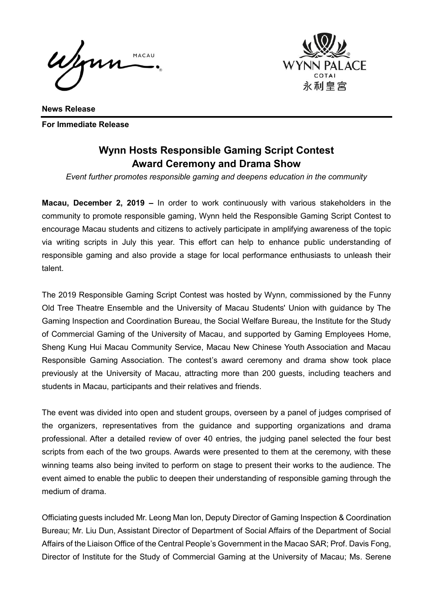Wenn MACAU



**News Release For Immediate Release**

# **Wynn Hosts Responsible Gaming Script Contest Award Ceremony and Drama Show**

*Event further promotes responsible gaming and deepens education in the community* 

**Macau, December 2, 2019 –** In order to work continuously with various stakeholders in the community to promote responsible gaming, Wynn held the Responsible Gaming Script Contest to encourage Macau students and citizens to actively participate in amplifying awareness of the topic via writing scripts in July this year. This effort can help to enhance public understanding of responsible gaming and also provide a stage for local performance enthusiasts to unleash their talent.

The 2019 Responsible Gaming Script Contest was hosted by Wynn, commissioned by the Funny Old Tree Theatre Ensemble and the University of Macau Students' Union with guidance by The Gaming Inspection and Coordination Bureau, the Social Welfare Bureau, the Institute for the Study of Commercial Gaming of the University of Macau, and supported by Gaming Employees Home, Sheng Kung Hui Macau Community Service, Macau New Chinese Youth Association and Macau Responsible Gaming Association. The contest's award ceremony and drama show took place previously at the University of Macau, attracting more than 200 guests, including teachers and students in Macau, participants and their relatives and friends.

The event was divided into open and student groups, overseen by a panel of judges comprised of the organizers, representatives from the guidance and supporting organizations and drama professional. After a detailed review of over 40 entries, the judging panel selected the four best scripts from each of the two groups. Awards were presented to them at the ceremony, with these winning teams also being invited to perform on stage to present their works to the audience. The event aimed to enable the public to deepen their understanding of responsible gaming through the medium of drama.

Officiating guests included Mr. Leong Man Ion, Deputy Director of Gaming Inspection & Coordination Bureau; Mr. Liu Dun, Assistant Director of Department of Social Affairs of the Department of Social Affairs of the Liaison Office of the Central People's Government in the Macao SAR; Prof. Davis Fong, Director of Institute for the Study of Commercial Gaming at the University of Macau; Ms. Serene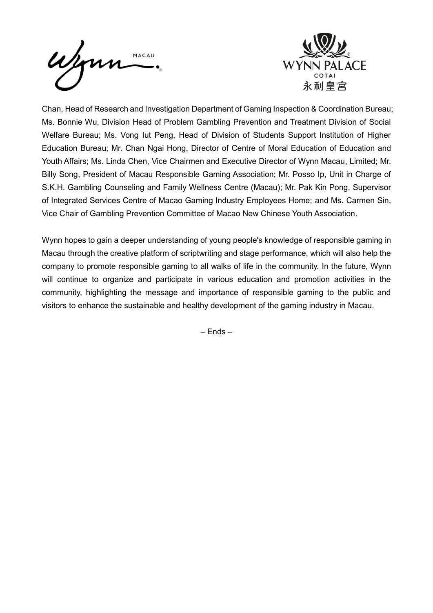



Chan, Head of Research and Investigation Department of Gaming Inspection & Coordination Bureau; Ms. Bonnie Wu, Division Head of Problem Gambling Prevention and Treatment Division of Social Welfare Bureau; Ms. Vong Iut Peng, Head of Division of Students Support Institution of Higher Education Bureau; Mr. Chan Ngai Hong, Director of Centre of Moral Education of Education and Youth Affairs; Ms. Linda Chen, Vice Chairmen and Executive Director of Wynn Macau, Limited; Mr. Billy Song, President of Macau Responsible Gaming Association; Mr. Posso Ip, Unit in Charge of S.K.H. Gambling Counseling and Family Wellness Centre (Macau); Mr. Pak Kin Pong, Supervisor of Integrated Services Centre of Macao Gaming Industry Employees Home; and Ms. Carmen Sin, Vice Chair of Gambling Prevention Committee of Macao New Chinese Youth Association.

Wynn hopes to gain a deeper understanding of young people's knowledge of responsible gaming in Macau through the creative platform of scriptwriting and stage performance, which will also help the company to promote responsible gaming to all walks of life in the community. In the future, Wynn will continue to organize and participate in various education and promotion activities in the community, highlighting the message and importance of responsible gaming to the public and visitors to enhance the sustainable and healthy development of the gaming industry in Macau.

– Ends –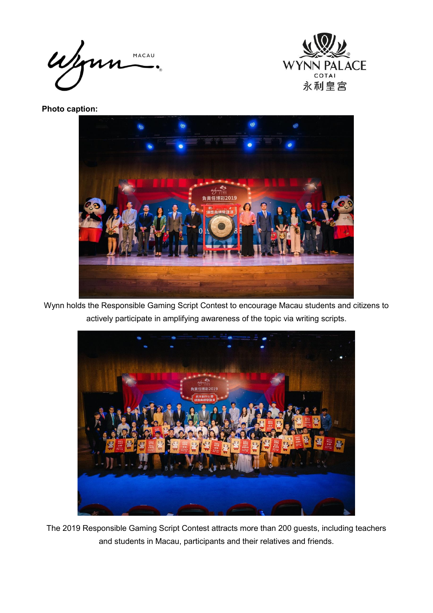Wynn MACAU



**Photo caption:** 



Wynn holds the Responsible Gaming Script Contest to encourage Macau students and citizens to actively participate in amplifying awareness of the topic via writing scripts.



The 2019 Responsible Gaming Script Contest attracts more than 200 guests, including teachers and students in Macau, participants and their relatives and friends.